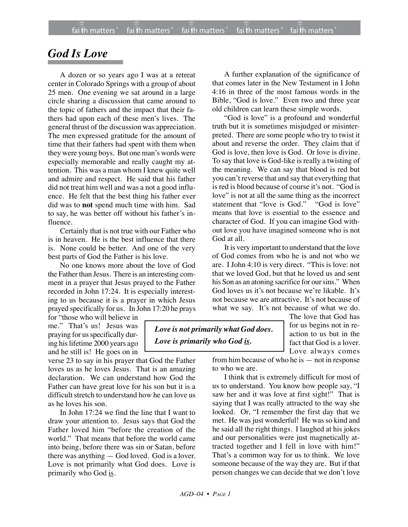## *God Is Love*

A dozen or so years ago I was at a retreat center in Colorado Springs with a group of about 25 men. One evening we sat around in a large circle sharing a discussion that came around to the topic of fathers and the impact that their fathers had upon each of these men's lives. The general thrust of the discussion was appreciation. The men expressed gratitude for the amount of time that their fathers had spent with them when they were young boys. But one man's words were especially memorable and really caught my attention. This was a man whom I knew quite well and admire and respect. He said that his father did not treat him well and was a not a good influence. He felt that the best thing his father ever did was to **not** spend much time with him. Sad to say, he was better off without his father's influence.

Certainly that is not true with our Father who is in heaven. He is the best influence that there is. None could be better. And one of the very best parts of God the Father is his love.

No one knows more about the love of God the Father than Jesus. There is an interesting comment in a prayer that Jesus prayed to the Father recorded in John 17:24. It is especially interesting to us because it is a prayer in which Jesus prayed specifically for us. In John 17:20 he prays

for "those who will believe in me." That's us! Jesus was praying for us specifically during his lifetime 2000 years ago and he still is! He goes on in

verse 23 to say in his prayer that God the Father loves us as he loves Jesus. That is an amazing declaration. We can understand how God the Father can have great love for his son but it is a difficult stretch to understand how he can love us as he loves his son.

In John 17:24 we find the line that I want to draw your attention to. Jesus says that God the Father loved him "before the creation of the world." That means that before the world came into being, before there was sin or Satan, before there was anything — God loved. God is a lover. Love is not primarily what God does. Love is primarily who God is.

A further explanation of the significance of that comes later in the New Testament in I John 4:16 in three of the most famous words in the Bible, "God is love." Even two and three year old children can learn these simple words.

"God is love" is a profound and wonderful truth but it is sometimes misjudged or misinterpreted. There are some people who try to twist it about and reverse the order. They claim that if God is love, then love is God. Or love is divine. To say that love is God-like is really a twisting of the meaning. We can say that blood is red but you can't reverse that and say that everything that is red is blood because of course it's not. "God is love" is not at all the same thing as the incorrect<br>statement that "love is God." "God is love" statement that "love is God." means that love is essential to the essence and character of God. If you can imagine God without love you have imagined someone who is not God at all.

It is very important to understand that the love of God comes from who he is and not who we are. I John 4:10 is very direct. "This is love: not that we loved God, but that he loved us and sent his Son as an atoning sacrifice for our sins." When God loves us it's not because we're likable. It's not because we are attractive. It's not because of what we say. It's not because of what we do.

> The love that God has for us begins not in reaction to us but in the fact that God is a lover. Love always comes

*Love is not primarily what God does. Love is primarily who God is.*

> from him because of who he is — not in response to who we are.

> I think that is extremely difficult for most of us to understand. You know how people say, "I saw her and it was love at first sight!" That is saying that I was really attracted to the way she looked. Or, "I remember the first day that we met. He was just wonderful! He was so kind and he said all the right things. I laughed at his jokes and our personalities were just magnetically attracted together and I fell in love with him!" That's a common way for us to think. We love someone because of the way they are. But if that person changes we can decide that we don't love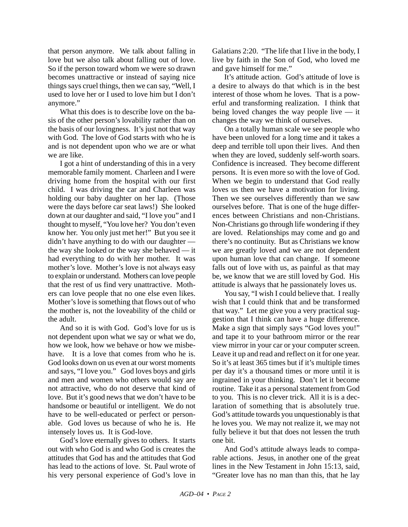that person anymore. We talk about falling in love but we also talk about falling out of love. So if the person toward whom we were so drawn becomes unattractive or instead of saying nice things says cruel things, then we can say, "Well, I used to love her or I used to love him but I don't anymore."

What this does is to describe love on the basis of the other person's lovability rather than on the basis of our lovingness. It's just not that way with God. The love of God starts with who he is and is not dependent upon who we are or what we are like.

I got a hint of understanding of this in a very memorable family moment. Charleen and I were driving home from the hospital with our first child. I was driving the car and Charleen was holding our baby daughter on her lap. (Those were the days before car seat laws!) She looked down at our daughter and said, "I love you" and I thought to myself, "You love her? You don't even know her. You only just met her!" But you see it didn't have anything to do with our daughter the way she looked or the way she behaved — it had everything to do with her mother. It was mother's love. Mother's love is not always easy to explain or understand. Mothers can love people that the rest of us find very unattractive. Mothers can love people that no one else even likes. Mother's love is something that flows out of who the mother is, not the loveability of the child or the adult.

And so it is with God. God's love for us is not dependent upon what we say or what we do, how we look, how we behave or how we misbehave It is a love that comes from who he is. God looks down on us even at our worst moments and says, "I love you." God loves boys and girls and men and women who others would say are not attractive, who do not deserve that kind of love. But it's good news that we don't have to be handsome or beautiful or intelligent. We do not have to be well-educated or perfect or personable. God loves us because of who he is. He intensely loves us. It is God-love.

God's love eternally gives to others. It starts out with who God is and who God is creates the attitudes that God has and the attitudes that God has lead to the actions of love. St. Paul wrote of his very personal experience of God's love in Galatians 2:20. "The life that I live in the body, I live by faith in the Son of God, who loved me and gave himself for me."

It's attitude action. God's attitude of love is a desire to always do that which is in the best interest of those whom he loves. That is a powerful and transforming realization. I think that being loved changes the way people live — it changes the way we think of ourselves.

On a totally human scale we see people who have been unloved for a long time and it takes a deep and terrible toll upon their lives. And then when they are loved, suddenly self-worth soars. Confidence is increased. They become different persons. It is even more so with the love of God. When we begin to understand that God really loves us then we have a motivation for living. Then we see ourselves differently than we saw ourselves before. That is one of the huge differences between Christians and non-Christians. Non-Christians go through life wondering if they are loved. Relationships may come and go and there's no continuity. But as Christians we know we are greatly loved and we are not dependent upon human love that can change. If someone falls out of love with us, as painful as that may be, we know that we are still loved by God. His attitude is always that he passionately loves us.

You say, "I wish I could believe that. I really wish that I could think that and be transformed that way." Let me give you a very practical suggestion that I think can have a huge difference. Make a sign that simply says "God loves you!" and tape it to your bathroom mirror or the rear view mirror in your car or your computer screen. Leave it up and read and reflect on it for one year. So it's at least 365 times but if it's multiple times per day it's a thousand times or more until it is ingrained in your thinking. Don't let it become routine. Take it as a personal statement from God to you. This is no clever trick. All it is is a declaration of something that is absolutely true. God's attitude towards you unquestionably is that he loves you. We may not realize it, we may not fully believe it but that does not lessen the truth one bit.

And God's attitude always leads to comparable actions. Jesus, in another one of the great lines in the New Testament in John 15:13, said, "Greater love has no man than this, that he lay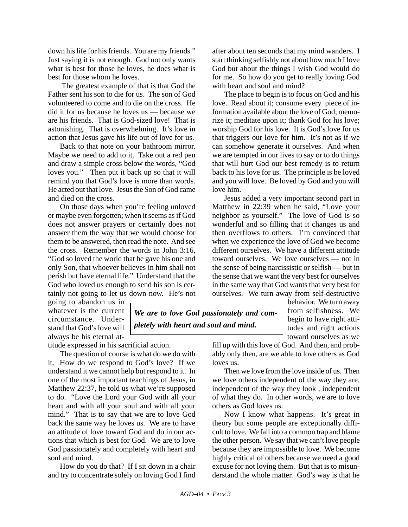down his life for his friends. You are my friends." Just saying it is not enough. God not only wants what is best for those he loves, he does what is best for those whom he loves.

 The greatest example of that is that God the Father sent his son to die for us. The son of God volunteered to come and to die on the cross. He did it for us because he loves us — because we are his friends. That is God-sized love! That is astonishing. That is overwhelming. It's love in action that Jesus gave his life out of love for us.

Back to that note on your bathroom mirror. Maybe we need to add to it. Take out a red pen and draw a simple cross below the words, "God loves you." Then put it back up so that it will remind you that God's love is more than words. He acted out that love. Jesus the Son of God came and died on the cross.

On those days when you're feeling unloved or maybe even forgotten; when it seems as if God does not answer prayers or certainly does not answer them the way that we would choose for them to be answered, then read the note. And see the cross. Remember the words in John 3:16, "God so loved the world that he gave his one and only Son, that whoever believes in him shall not perish but have eternal life." Understand that the God who loved us enough to send his son is certainly not going to let us down now. He's not

going to abandon us in whatever is the current circumstance. Understand that God's love will always be his eternal at-

titude expressed in his sacrificial action.

The question of course is what do we do with it. How do we respond to God's love? If we understand it we cannot help but respond to it. In one of the most important teachings of Jesus, in Matthew 22:37, he told us what we're supposed to do. "Love the Lord your God with all your heart and with all your soul and with all your mind." That is to say that we are to love God back the same way he loves us. We are to have an attitude of love toward God and do in our actions that which is best for God. We are to love God passionately and completely with heart and soul and mind.

How do you do that? If I sit down in a chair and try to concentrate solely on loving God I find after about ten seconds that my mind wanders. I start thinking selfishly not about how much I love God but about the things I wish God would do for me. So how do you get to really loving God with heart and soul and mind?

The place to begin is to focus on God and his love. Read about it; consume every piece of information available about the love of God; memorize it; meditate upon it; thank God for his love; worship God for his love. It is God's love for us that triggers our love for him. It's not as if we can somehow generate it ourselves. And when we are tempted in our lives to say or to do things that will hurt God our best remedy is to return back to his love for us. The principle is be loved and you will love. Be loved by God and you will love him.

Jesus added a very important second part in Matthew in 22:39 when he said, "Love your neighbor as yourself." The love of God is so wonderful and so filling that it changes us and then overflows to others. I'm convinced that when we experience the love of God we become different ourselves. We have a different attitude toward ourselves. We love ourselves — not in the sense of being narcissistic or selfish — but in the sense that we want the very best for ourselves in the same way that God wants that very best for ourselves. We turn away from self-destructive

*We are to love God passionately and completely with heart and soul and mind.*

behavior. We turn away from selfishness. We begin to have right attitudes and right actions toward ourselves as we

fill up with this love of God. And then, and probably only then, are we able to love others as God loves us.

Then we love from the love inside of us. Then we love others independent of the way they are, independent of the way they look , independent of what they do. In other words, we are to love others as God loves us.

Now I know what happens. It's great in theory but some people are exceptionally difficult to love. We fall into a common trap and blame the other person. We say that we can't love people because they are impossible to love. We become highly critical of others because we need a good excuse for not loving them. But that is to misunderstand the whole matter. God's way is that he